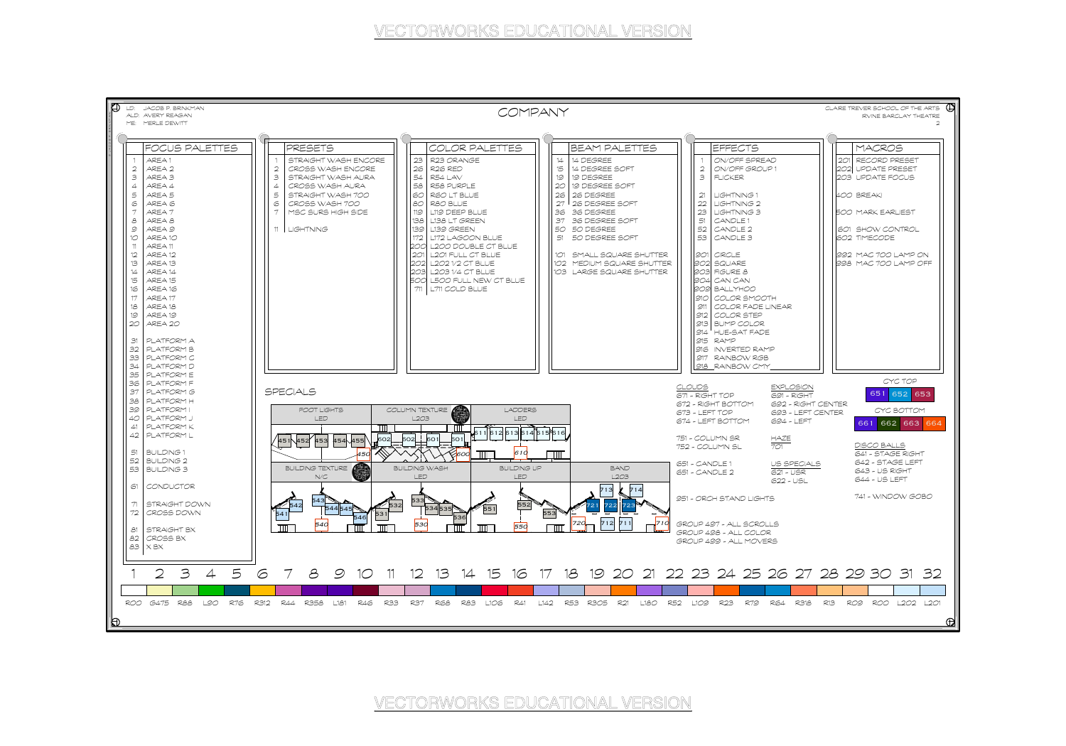

IÐ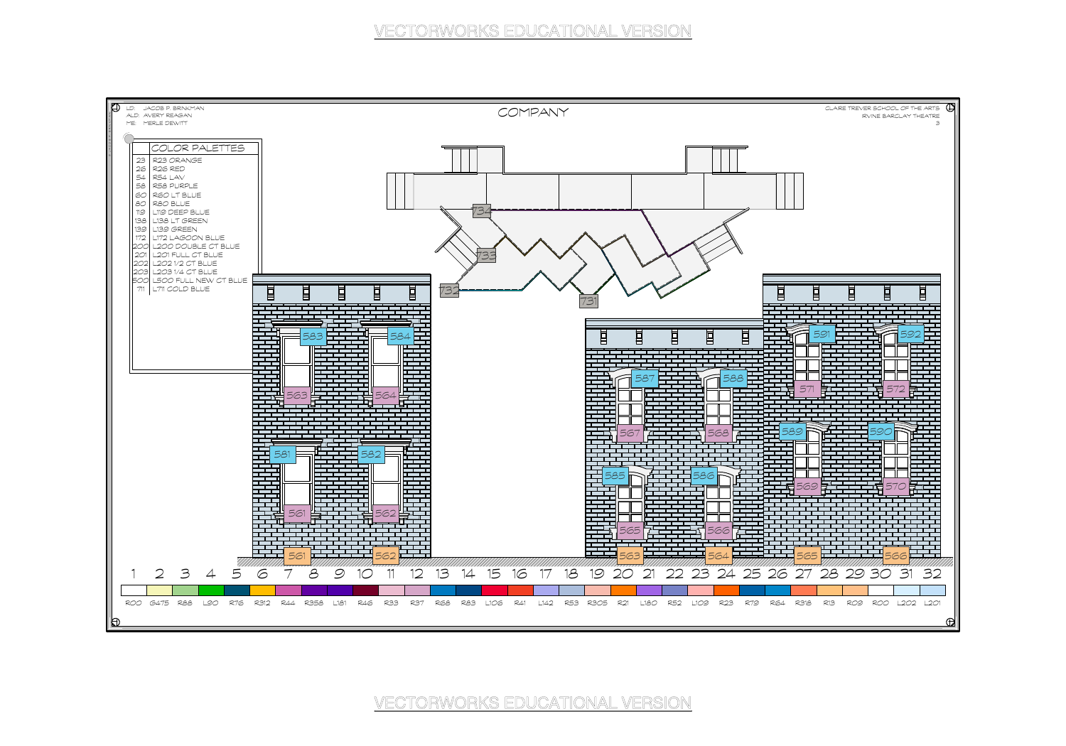